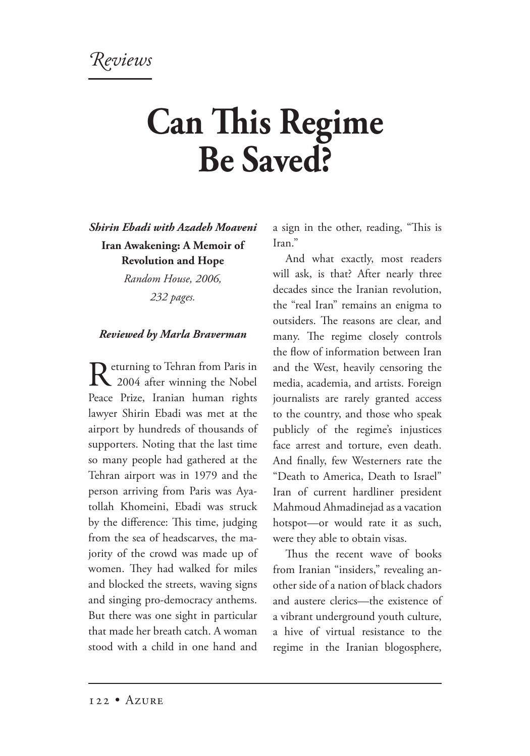Reviews

## **Can This Regime Be Saved?**

*Shirin Ebadi with Azadeh Moaveni*

**Iran Awakening: A Memoir of Revolution and Hope**

*Random House, 2006,*

*232 pages.*

## *Reviewed by Marla Braverman*

Returning to Tehran from Paris in<br>
2004 after winning the Nobel Peace Prize, Iranian human rights lawyer Shirin Ebadi was met at the airport by hundreds of thousands of supporters. Noting that the last time so many people had gathered at the Tehran airport was in 1979 and the person arriving from Paris was Ayatollah Khomeini, Ebadi was struck by the difference: This time, judging from the sea of headscarves, the majority of the crowd was made up of women. They had walked for miles and blocked the streets, waving signs and singing pro-democracy anthems. But there was one sight in particular that made her breath catch. A woman stood with a child in one hand and

a sign in the other, reading, "This is Iran."

And what exactly, most readers will ask, is that? After nearly three decades since the Iranian revolution, the "real Iran" remains an enigma to outsiders. The reasons are clear, and many. The regime closely controls the flow of information between Iran and the West, heavily censoring the media, academia, and artists. Foreign journalists are rarely granted access to the country, and those who speak publicly of the regime's injustices face arrest and torture, even death. And finally, few Westerners rate the "Death to America, Death to Israel" Iran of current hardliner president Mahmoud Ahmadinejad as a vacation hotspot—or would rate it as such, were they able to obtain visas.

Thus the recent wave of books from Iranian "insiders," revealing another side of a nation of black chadors and austere clerics—the existence of a vibrant underground youth culture, a hive of virtual resistance to the regime in the Iranian blogosphere,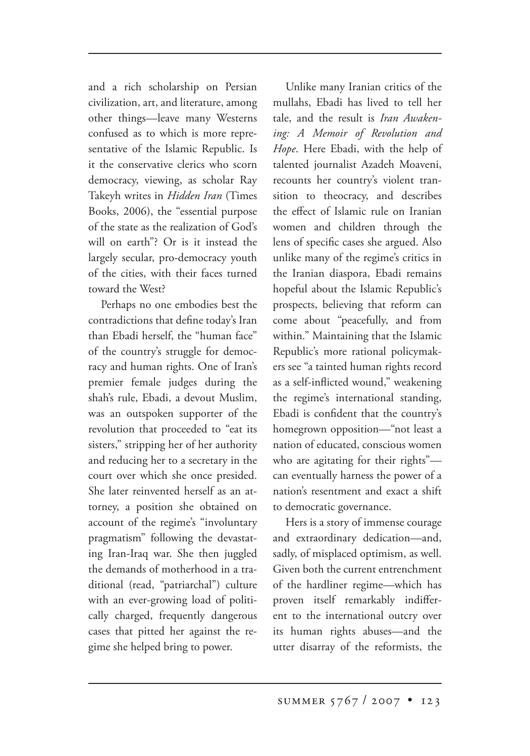and a rich scholarship on Persian civilization, art, and literature, among other things—leave many Westerns confused as to which is more representative of the Islamic Republic. Is it the conservative clerics who scorn democracy, viewing, as scholar Ray Takeyh writes in *Hidden Iran* (Times Books, 2006), the "essential purpose of the state as the realization of God's will on earth"? Or is it instead the largely secular, pro-democracy youth of the cities, with their faces turned toward the West?

Perhaps no one embodies best the contradictions that define today's Iran than Ebadi herself, the "human face" of the country's struggle for democracy and human rights. One of Iran's premier female judges during the shah's rule, Ebadi, a devout Muslim, was an outspoken supporter of the revolution that proceeded to "eat its sisters," stripping her of her authority and reducing her to a secretary in the court over which she once presided. She later reinvented herself as an attorney, a position she obtained on account of the regime's "involuntary pragmatism" following the devastating Iran-Iraq war. She then juggled the demands of motherhood in a traditional (read, "patriarchal") culture with an ever-growing load of politically charged, frequently dangerous cases that pitted her against the regime she helped bring to power.

Unlike many Iranian critics of the mullahs, Ebadi has lived to tell her tale, and the result is *Iran Awakening: A Memoir of Revolution and Hope*. Here Ebadi, with the help of talented journalist Azadeh Moaveni, recounts her country's violent transition to theocracy, and describes the effect of Islamic rule on Iranian women and children through the lens of specific cases she argued. Also unlike many of the regime's critics in the Iranian diaspora, Ebadi remains hopeful about the Islamic Republic's prospects, believing that reform can come about "peacefully, and from within." Maintaining that the Islamic Republic's more rational policymakers see "a tainted human rights record as a self-inflicted wound," weakening the regime's international standing, Ebadi is confident that the country's homegrown opposition—"not least a nation of educated, conscious women who are agitating for their rights" can eventually harness the power of a nation's resentment and exact a shift to democratic governance.

Hers is a story of immense courage and extraordinary dedication—and, sadly, of misplaced optimism, as well. Given both the current entrenchment of the hardliner regime—which has proven itself remarkably indifferent to the international outcry over its human rights abuses—and the utter disarray of the reformists, the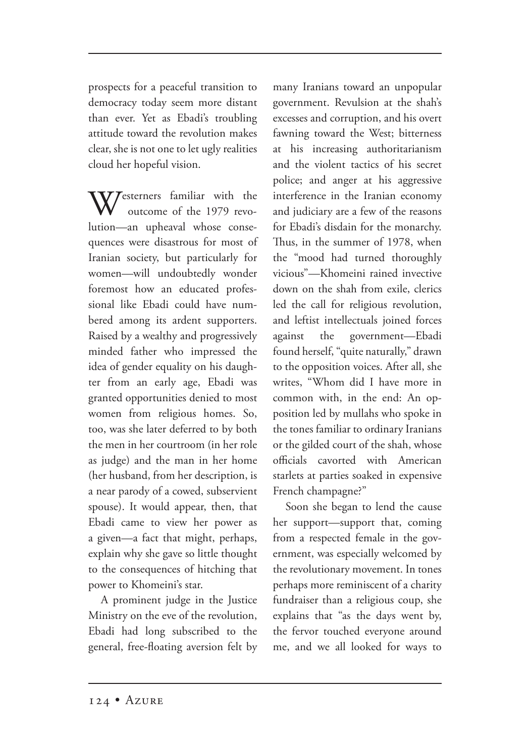prospects for a peaceful transition to democracy today seem more distant than ever. Yet as Ebadi's troubling attitude toward the revolution makes clear, she is not one to let ugly realities cloud her hopeful vision.

Westerners familiar with the outcome of the 1979 revolution—an upheaval whose consequences were disastrous for most of Iranian society, but particularly for women—will undoubtedly wonder foremost how an educated professional like Ebadi could have numbered among its ardent supporters. Raised by a wealthy and progressively minded father who impressed the idea of gender equality on his daughter from an early age, Ebadi was granted opportunities denied to most women from religious homes. So, too, was she later deferred to by both the men in her courtroom (in her role as judge) and the man in her home (her husband, from her description, is a near parody of a cowed, subservient spouse). It would appear, then, that Ebadi came to view her power as a given—a fact that might, perhaps, explain why she gave so little thought to the consequences of hitching that power to Khomeini's star.

A prominent judge in the Justice Ministry on the eve of the revolution, Ebadi had long subscribed to the general, free-floating aversion felt by many Iranians toward an unpopular government. Revulsion at the shah's excesses and corruption, and his overt fawning toward the West; bitterness at his increasing authoritarianism and the violent tactics of his secret police; and anger at his aggressive interference in the Iranian economy and judiciary are a few of the reasons for Ebadi's disdain for the monarchy. Thus, in the summer of 1978, when the "mood had turned thoroughly vicious"—Khomeini rained invective down on the shah from exile, clerics led the call for religious revolution, and leftist intellectuals joined forces against the government—Ebadi found herself, "quite naturally," drawn to the opposition voices. After all, she writes, "Whom did I have more in common with, in the end: An opposition led by mullahs who spoke in the tones familiar to ordinary Iranians or the gilded court of the shah, whose officials cavorted with American starlets at parties soaked in expensive French champagne?"

Soon she began to lend the cause her support—support that, coming from a respected female in the government, was especially welcomed by the revolutionary movement. In tones perhaps more reminiscent of a charity fundraiser than a religious coup, she explains that "as the days went by, the fervor touched everyone around me, and we all looked for ways to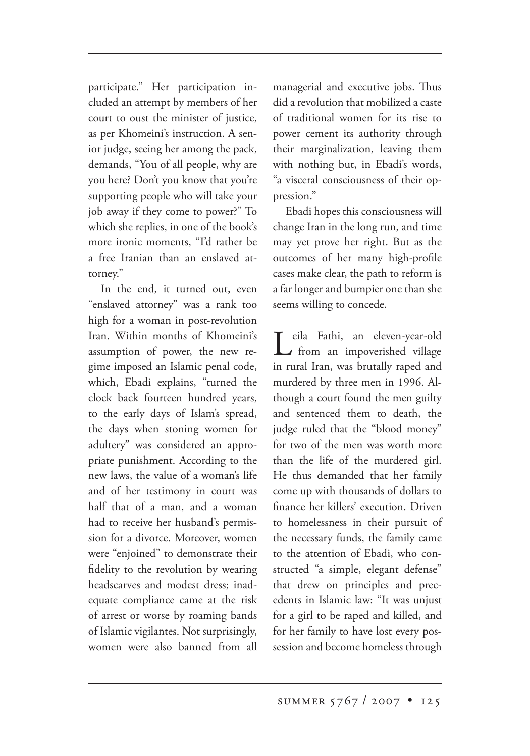participate." Her participation included an attempt by members of her court to oust the minister of justice, as per Khomeini's instruction. A senior judge, seeing her among the pack, demands, "You of all people, why are you here? Don't you know that you're supporting people who will take your job away if they come to power?" To which she replies, in one of the book's more ironic moments, "I'd rather be a free Iranian than an enslaved attorney."

In the end, it turned out, even "enslaved attorney" was a rank too high for a woman in post-revolution Iran. Within months of Khomeini's assumption of power, the new regime imposed an Islamic penal code, which, Ebadi explains, "turned the clock back fourteen hundred years, to the early days of Islam's spread, the days when stoning women for adultery" was considered an appropriate punishment. According to the new laws, the value of a woman's life and of her testimony in court was half that of a man, and a woman had to receive her husband's permission for a divorce. Moreover, women were "enjoined" to demonstrate their fidelity to the revolution by wearing headscarves and modest dress; inadequate compliance came at the risk of arrest or worse by roaming bands of Islamic vigilantes. Not surprisingly, women were also banned from all managerial and executive jobs. Thus did a revolution that mobilized a caste of traditional women for its rise to power cement its authority through their marginalization, leaving them with nothing but, in Ebadi's words, "a visceral consciousness of their oppression."

Ebadi hopes this consciousness will change Iran in the long run, and time may yet prove her right. But as the outcomes of her many high-profile cases make clear, the path to reform is a far longer and bumpier one than she seems willing to concede.

Leila Fathi, an eleven-year-old from an impoverished village in rural Iran, was brutally raped and murdered by three men in 1996. Although a court found the men guilty and sentenced them to death, the judge ruled that the "blood money" for two of the men was worth more than the life of the murdered girl. He thus demanded that her family come up with thousands of dollars to finance her killers' execution. Driven to homelessness in their pursuit of the necessary funds, the family came to the attention of Ebadi, who constructed "a simple, elegant defense" that drew on principles and precedents in Islamic law: "It was unjust for a girl to be raped and killed, and for her family to have lost every possession and become homeless through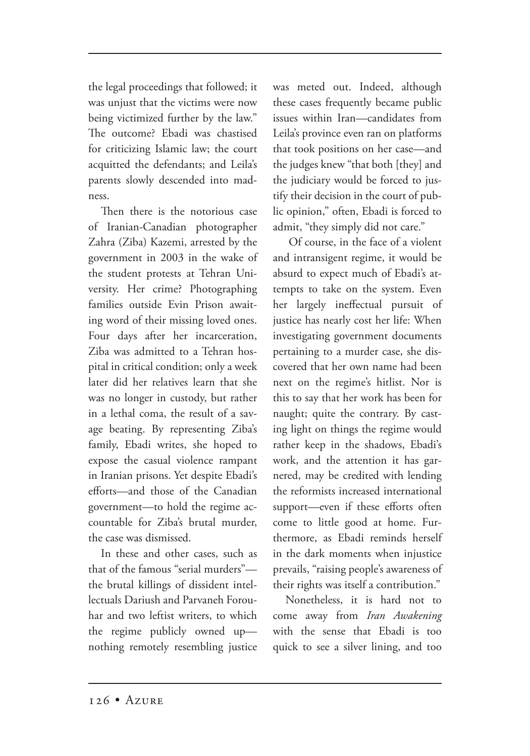the legal proceedings that followed; it was unjust that the victims were now being victimized further by the law." The outcome? Ebadi was chastised for criticizing Islamic law; the court acquitted the defendants; and Leila's parents slowly descended into madness.

Then there is the notorious case of Iranian-Canadian photographer Zahra (Ziba) Kazemi, arrested by the government in 2003 in the wake of the student protests at Tehran University. Her crime? Photographing families outside Evin Prison awaiting word of their missing loved ones. Four days after her incarceration, Ziba was admitted to a Tehran hospital in critical condition; only a week later did her relatives learn that she was no longer in custody, but rather in a lethal coma, the result of a savage beating. By representing Ziba's family, Ebadi writes, she hoped to expose the casual violence rampant in Iranian prisons. Yet despite Ebadi's efforts—and those of the Canadian government—to hold the regime accountable for Ziba's brutal murder, the case was dismissed.

In these and other cases, such as that of the famous "serial murders" the brutal killings of dissident intellectuals Dariush and Parvaneh Forouhar and two leftist writers, to which the regime publicly owned up nothing remotely resembling justice was meted out. Indeed, although these cases frequently became public issues within Iran—candidates from Leila's province even ran on platforms that took positions on her case—and the judges knew "that both [they] and the judiciary would be forced to justify their decision in the court of public opinion," often, Ebadi is forced to admit, "they simply did not care."

 Of course, in the face of a violent and intransigent regime, it would be absurd to expect much of Ebadi's attempts to take on the system. Even her largely ineffectual pursuit of justice has nearly cost her life: When investigating government documents pertaining to a murder case, she discovered that her own name had been next on the regime's hitlist. Nor is this to say that her work has been for naught; quite the contrary. By casting light on things the regime would rather keep in the shadows, Ebadi's work, and the attention it has garnered, may be credited with lending the reformists increased international support—even if these efforts often come to little good at home. Furthermore, as Ebadi reminds herself in the dark moments when injustice prevails, "raising people's awareness of their rights was itself a contribution."

Nonetheless, it is hard not to come away from *Iran Awakening* with the sense that Ebadi is too quick to see a silver lining, and too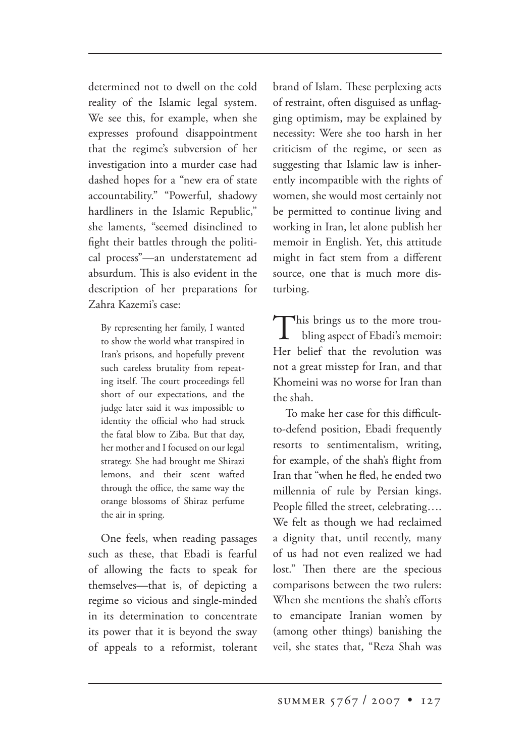determined not to dwell on the cold reality of the Islamic legal system. We see this, for example, when she expresses profound disappointment that the regime's subversion of her investigation into a murder case had dashed hopes for a "new era of state accountability." "Powerful, shadowy hardliners in the Islamic Republic," she laments, "seemed disinclined to fight their battles through the political process"—an understatement ad absurdum. This is also evident in the description of her preparations for Zahra Kazemi's case:

By representing her family, I wanted to show the world what transpired in Iran's prisons, and hopefully prevent such careless brutality from repeating itself. The court proceedings fell short of our expectations, and the judge later said it was impossible to identity the official who had struck the fatal blow to Ziba. But that day, her mother and I focused on our legal strategy. She had brought me Shirazi lemons, and their scent wafted through the office, the same way the orange blossoms of Shiraz perfume the air in spring.

One feels, when reading passages such as these, that Ebadi is fearful of allowing the facts to speak for themselves—that is, of depicting a regime so vicious and single-minded in its determination to concentrate its power that it is beyond the sway of appeals to a reformist, tolerant brand of Islam. These perplexing acts of restraint, often disguised as unflagging optimism, may be explained by necessity: Were she too harsh in her criticism of the regime, or seen as suggesting that Islamic law is inherently incompatible with the rights of women, she would most certainly not be permitted to continue living and working in Iran, let alone publish her memoir in English. Yet, this attitude might in fact stem from a different source, one that is much more disturbing.

This brings us to the more trou bling aspect of Ebadi's memoir: Her belief that the revolution was not a great misstep for Iran, and that Khomeini was no worse for Iran than the shah.

To make her case for this difficultto-defend position, Ebadi frequently resorts to sentimentalism, writing, for example, of the shah's flight from Iran that "when he fled, he ended two millennia of rule by Persian kings. People filled the street, celebrating…. We felt as though we had reclaimed a dignity that, until recently, many of us had not even realized we had lost." Then there are the specious comparisons between the two rulers: When she mentions the shah's efforts to emancipate Iranian women by (among other things) banishing the veil, she states that, "Reza Shah was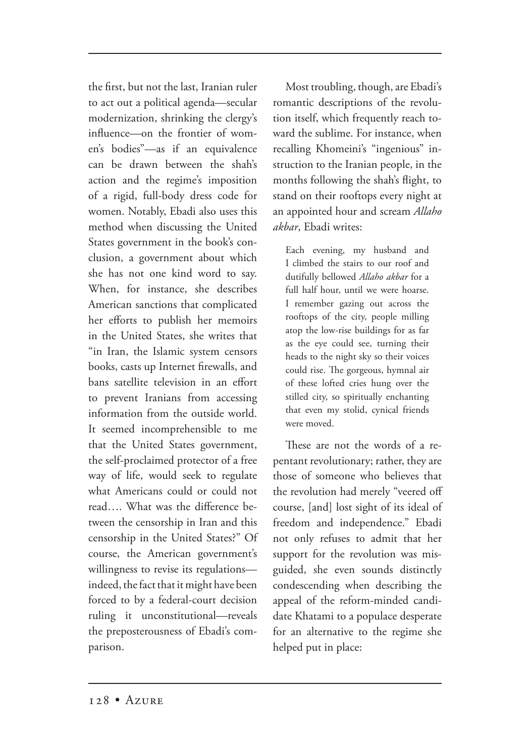the first, but not the last, Iranian ruler to act out a political agenda—secular modernization, shrinking the clergy's influence—on the frontier of women's bodies"—as if an equivalence can be drawn between the shah's action and the regime's imposition of a rigid, full-body dress code for women. Notably, Ebadi also uses this method when discussing the United States government in the book's conclusion, a government about which she has not one kind word to say. When, for instance, she describes American sanctions that complicated her efforts to publish her memoirs in the United States, she writes that "in Iran, the Islamic system censors books, casts up Internet firewalls, and bans satellite television in an effort to prevent Iranians from accessing information from the outside world. It seemed incomprehensible to me that the United States government, the self-proclaimed protector of a free way of life, would seek to regulate what Americans could or could not read…. What was the difference between the censorship in Iran and this censorship in the United States?" Of course, the American government's willingness to revise its regulations indeed, the fact that it might have been forced to by a federal-court decision ruling it unconstitutional—reveals the preposterousness of Ebadi's comparison.

Most troubling, though, are Ebadi's romantic descriptions of the revolution itself, which frequently reach toward the sublime. For instance, when recalling Khomeini's "ingenious" instruction to the Iranian people, in the months following the shah's flight, to stand on their rooftops every night at an appointed hour and scream *Allaho akbar*, Ebadi writes:

Each evening, my husband and I climbed the stairs to our roof and dutifully bellowed *Allaho akbar* for a full half hour, until we were hoarse. I remember gazing out across the rooftops of the city, people milling atop the low-rise buildings for as far as the eye could see, turning their heads to the night sky so their voices could rise. The gorgeous, hymnal air of these lofted cries hung over the stilled city, so spiritually enchanting that even my stolid, cynical friends were moved.

These are not the words of a repentant revolutionary; rather, they are those of someone who believes that the revolution had merely "veered off course, [and] lost sight of its ideal of freedom and independence." Ebadi not only refuses to admit that her support for the revolution was misguided, she even sounds distinctly condescending when describing the appeal of the reform-minded candidate Khatami to a populace desperate for an alternative to the regime she helped put in place: